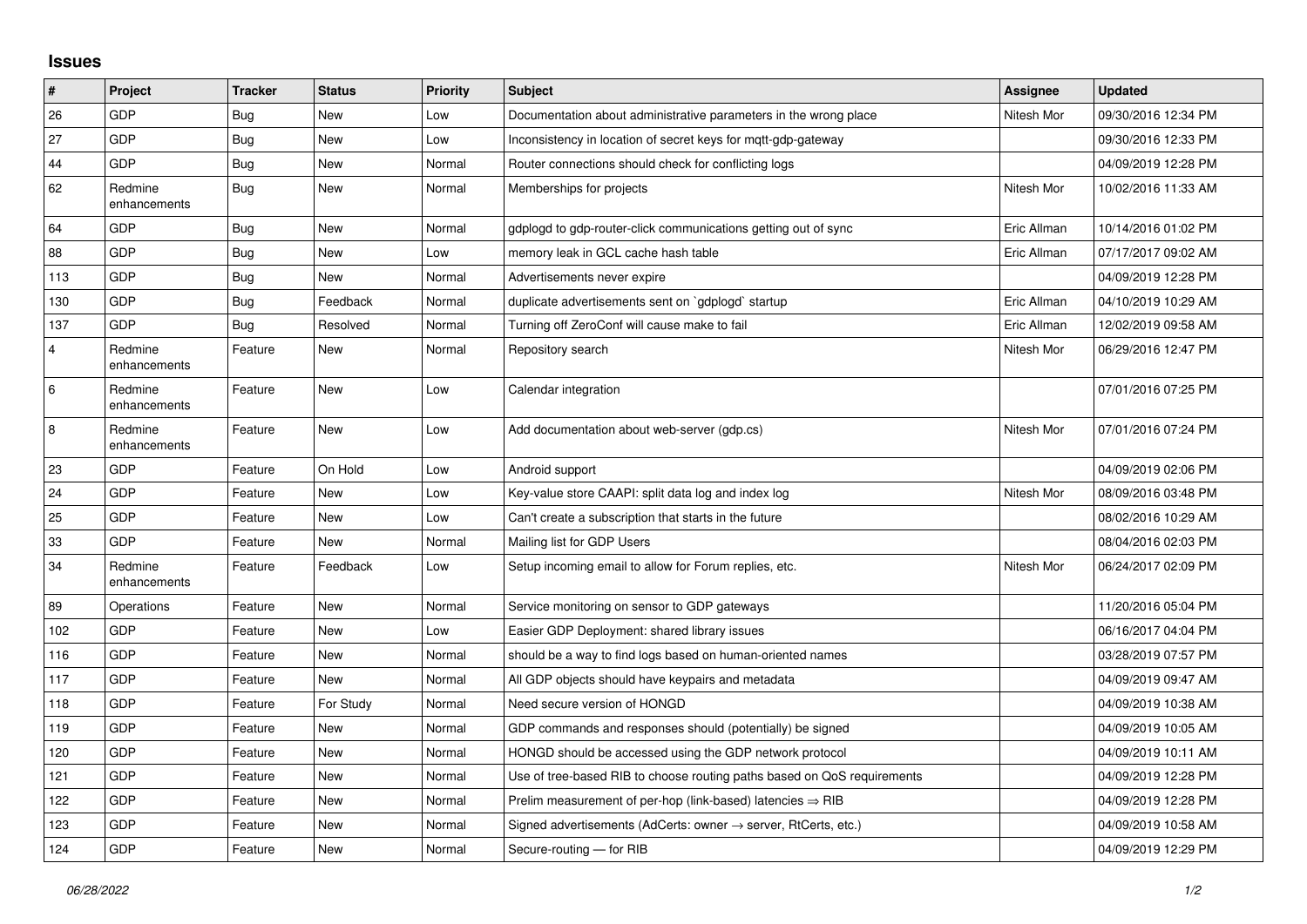## **Issues**

| $\vert$ #      | <b>Project</b>          | <b>Tracker</b> | <b>Status</b> | <b>Priority</b> | <b>Subject</b>                                                          | Assignee    | <b>Updated</b>      |
|----------------|-------------------------|----------------|---------------|-----------------|-------------------------------------------------------------------------|-------------|---------------------|
| 26             | GDP                     | Bug            | <b>New</b>    | Low             | Documentation about administrative parameters in the wrong place        | Nitesh Mor  | 09/30/2016 12:34 PM |
| 27             | GDP                     | <b>Bug</b>     | New           | Low             | Inconsistency in location of secret keys for mgtt-gdp-gateway           |             | 09/30/2016 12:33 PM |
| 44             | GDP                     | <b>Bug</b>     | New           | Normal          | Router connections should check for conflicting logs                    |             | 04/09/2019 12:28 PM |
| 62             | Redmine<br>enhancements | Bug            | New           | Normal          | Memberships for projects                                                | Nitesh Mor  | 10/02/2016 11:33 AM |
| 64             | GDP                     | Bug            | New           | Normal          | gdplogd to gdp-router-click communications getting out of sync          | Eric Allman | 10/14/2016 01:02 PM |
| 88             | GDP                     | Bug            | <b>New</b>    | Low             | memory leak in GCL cache hash table                                     | Eric Allman | 07/17/2017 09:02 AM |
| 113            | GDP                     | <b>Bug</b>     | <b>New</b>    | Normal          | Advertisements never expire                                             |             | 04/09/2019 12:28 PM |
| 130            | GDP                     | <b>Bug</b>     | Feedback      | Normal          | duplicate advertisements sent on `gdplogd` startup                      | Eric Allman | 04/10/2019 10:29 AM |
| 137            | GDP                     | Bug            | Resolved      | Normal          | Turning off ZeroConf will cause make to fail                            | Eric Allman | 12/02/2019 09:58 AM |
| $\overline{4}$ | Redmine<br>enhancements | Feature        | New           | Normal          | Repository search                                                       | Nitesh Mor  | 06/29/2016 12:47 PM |
| 6              | Redmine<br>enhancements | Feature        | <b>New</b>    | Low             | Calendar integration                                                    |             | 07/01/2016 07:25 PM |
| 8              | Redmine<br>enhancements | Feature        | New           | Low             | Add documentation about web-server (gdp.cs)                             | Nitesh Mor  | 07/01/2016 07:24 PM |
| 23             | GDP                     | Feature        | On Hold       | Low             | Android support                                                         |             | 04/09/2019 02:06 PM |
| 24             | GDP                     | Feature        | <b>New</b>    | Low             | Key-value store CAAPI: split data log and index log                     | Nitesh Mor  | 08/09/2016 03:48 PM |
| 25             | GDP                     | Feature        | New           | Low             | Can't create a subscription that starts in the future                   |             | 08/02/2016 10:29 AM |
| 33             | GDP                     | Feature        | New           | Normal          | Mailing list for GDP Users                                              |             | 08/04/2016 02:03 PM |
| 34             | Redmine<br>enhancements | Feature        | Feedback      | Low             | Setup incoming email to allow for Forum replies, etc.                   | Nitesh Mor  | 06/24/2017 02:09 PM |
| 89             | Operations              | Feature        | <b>New</b>    | Normal          | Service monitoring on sensor to GDP gateways                            |             | 11/20/2016 05:04 PM |
| 102            | GDP                     | Feature        | New           | Low             | Easier GDP Deployment: shared library issues                            |             | 06/16/2017 04:04 PM |
| 116            | GDP                     | Feature        | <b>New</b>    | Normal          | should be a way to find logs based on human-oriented names              |             | 03/28/2019 07:57 PM |
| 117            | GDP                     | Feature        | <b>New</b>    | Normal          | All GDP objects should have keypairs and metadata                       |             | 04/09/2019 09:47 AM |
| 118            | GDP                     | Feature        | For Study     | Normal          | Need secure version of HONGD                                            |             | 04/09/2019 10:38 AM |
| 119            | GDP                     | Feature        | New           | Normal          | GDP commands and responses should (potentially) be signed               |             | 04/09/2019 10:05 AM |
| 120            | GDP                     | Feature        | New           | Normal          | HONGD should be accessed using the GDP network protocol                 |             | 04/09/2019 10:11 AM |
| 121            | GDP                     | Feature        | New           | Normal          | Use of tree-based RIB to choose routing paths based on QoS requirements |             | 04/09/2019 12:28 PM |
| 122            | GDP                     | Feature        | New           | Normal          | Prelim measurement of per-hop (link-based) latencies $\Rightarrow$ RIB  |             | 04/09/2019 12:28 PM |
| 123            | GDP                     | Feature        | New           | Normal          | Signed advertisements (AdCerts: owner → server, RtCerts, etc.)          |             | 04/09/2019 10:58 AM |
| 124            | GDP                     | Feature        | New           | Normal          | Secure-routing - for RIB                                                |             | 04/09/2019 12:29 PM |